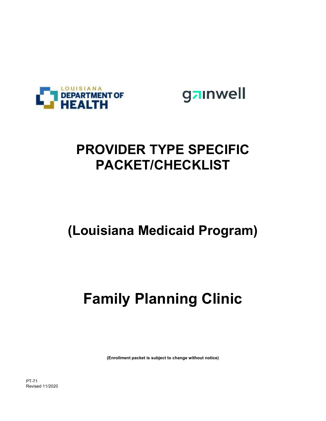

gainwell

# **PROVIDER TYPE SPECIFIC PACKET/CHECKLIST**

# **(Louisiana Medicaid Program)**

# **Family Planning Clinic**

**(Enrollment packet is subject to change without notice)**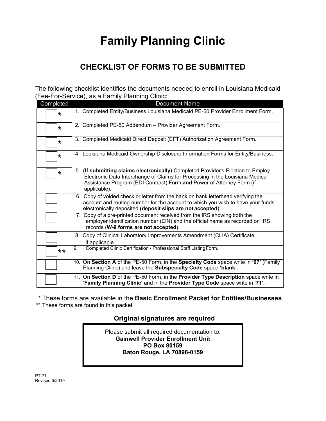# **Family Planning Clinic**

## **CHECKLIST OF FORMS TO BE SUBMITTED**

The following checklist identifies the documents needed to enroll in Louisiana Medicaid (Fee-For-Service), as a Family Planning Clinic:

| Completed | <b>Document Name</b>                                                                                                                                                                                                                                       |
|-----------|------------------------------------------------------------------------------------------------------------------------------------------------------------------------------------------------------------------------------------------------------------|
| $\star$   | 1. Completed Entity/Business Louisiana Medicaid PE-50 Provider Enrollment Form.                                                                                                                                                                            |
| $\star$   | 2. Completed PE-50 Addendum - Provider Agreement Form.                                                                                                                                                                                                     |
| $\star$   | 3. Completed Medicaid Direct Deposit (EFT) Authorization Agreement Form.                                                                                                                                                                                   |
| $\star$   | 4. Louisiana Medicaid Ownership Disclosure Information Forms for Entity/Business.                                                                                                                                                                          |
| $\star$   | 5. (If submitting claims electronically) Completed Provider's Election to Employ<br>Electronic Data Interchange of Claims for Processing in the Louisiana Medical<br>Assistance Program (EDI Contract) Form and Power of Attorney Form (if<br>applicable). |
|           | 6. Copy of voided check or letter from the bank on bank letterhead verifying the<br>account and routing number for the account to which you wish to have your funds<br>electronically deposited (deposit slips are not accepted).                          |
|           | 7. Copy of a pre-printed document received from the IRS showing both the<br>employer identification number (EIN) and the official name as recorded on IRS<br>records (W-9 forms are not accepted).                                                         |
|           | 8. Copy of Clinical Laboratory Improvements Amendment (CLIA) Certificate,<br>if applicable.                                                                                                                                                                |
| $**$      | Completed Clinic Certification / Professional Staff Listing Form.<br>9.                                                                                                                                                                                    |
|           | 10. On Section A of the PE-50 Form, in the Specialty Code space write in '97' (Family<br>Planning Clinic) and leave the Subspecialty Code space 'blank'.                                                                                                   |
|           | 11. On Section D of the PE-50 Form, in the Provider Type Description space write in<br>'Family Planning Clinic' and in the Provider Type Code space write in '71'.                                                                                         |

\* These forms are available in the **Basic Enrollment Packet for Entities/Businesses**

\*\* These forms are found in this packet

## **Original signatures are required**

Please submit all required documentation to: **Gainwell Provider Enrollment Unit PO Box 80159 Baton Rouge, LA 70898-0159**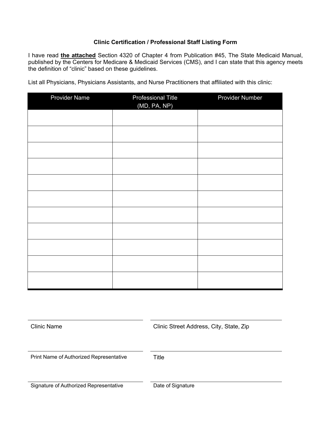## **Clinic Certification / Professional Staff Listing Form**

I have read **the attached** Section 4320 of Chapter 4 from Publication #45, The State Medicaid Manual, published by the Centers for Medicare & Medicaid Services (CMS), and I can state that this agency meets the definition of "clinic" based on these guidelines.

List all Physicians, Physicians Assistants, and Nurse Practitioners that affiliated with this clinic:

| Provider Name | <b>Professional Title</b><br>(MD, PA, NP) | Provider Number |
|---------------|-------------------------------------------|-----------------|
|               |                                           |                 |
|               |                                           |                 |
|               |                                           |                 |
|               |                                           |                 |
|               |                                           |                 |
|               |                                           |                 |
|               |                                           |                 |
|               |                                           |                 |
|               |                                           |                 |
|               |                                           |                 |
|               |                                           |                 |

Clinic Name Clinic Street Address, City, State, Zip

Print Name of Authorized Representative Title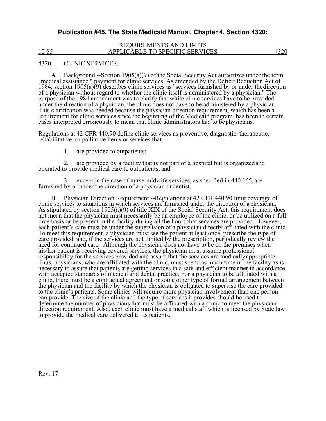## **Publication #45, The State Medicaid Manual, Chapter 4, Section 4320:**

#### REQUIREMENTS AND LIMITS 10-85 APPLICABLE TO SPECIFIC SERVICES 4320

#### 4320. CLINIC SERVICES.

A. Background.--Section 1905(a)(9) of the Social Security Act authorizes under the term "medical assistance," payment for clinic services. As amended by the Deficit Reduction Act of 1984, section 1905(a)(9) describes clinic services as "services furnished by or under the direction of a physician without regard to whether the clinic itself is administered by a physician." The purpose of the 1984 amendment was to clarify that while clinic services have to be provided under the direction of a physician This clarification was needed because the physician direction requirement, which has been a requirement for clinic services since the beginning of the Medicaid program, has been in certain cases interpreted erroneously to mean that clinic administrators had to be physicians.

Regulations at 42 CFR 440.90 define clinic services as preventive, diagnostic, therapeutic, rehabilitative, or palliative items or services that--

1. are provided to outpatients;

2. are provided by a facility that is not part of a hospital but is organized and operated to provide medical care to outpatients; and

except in the case of nurse-midwife services, as specified in 440.165, are furnished by or under the direction of a physician or dentist.

B. Physician Direction Requirement.--Regulations at 42 CFR 440.90 limit coverage of clinic services to situations in which services are furnished under the direction of a physician.<br>As stipulated by section 1905(a)(9) of t not mean that the physician must necessarily be an employee of the clinic, or be utilized on a full time basis or be present in the facility during all the hours that services are provided. However, each patient's care must be under the supervision of a physician directly affiliated with the clinic.<br>To meet this requirement, a physician must see the patient at least once, prescribe the type of care provided, and, if t need for continued care. Although the physician does not have to be on the premises when<br>his/her patient is receiving covered services, the physician must assume professional<br>responsibility for the services provided and as Thus, physicians, who are affiliated with the clinic, must spend as much time in the facility as is necessary to assure that patients are getting services in a safe and efficient manner in accordance necessary to assure that patients are getting services in a safe and efficient manner in accordance<br>with accepted standards of medical and dental practice. For a physician to be affiliated with a<br>clinic, there must be a co clinic, there must be a contractual agreement or some other type of formal arrangement between<br>the physician and the facility by which the physician is obligated to supervise the care provided<br>to the clinic's patients. Som can provide. The size of the clinic and the type of services it provides should be used to<br>determine the number of physicians that must be affiliated with a clinic to meet the physician<br>direction requirement. Also, each cl direction requirement. Also, each clinic must have a medical staff which is licensed by State law to provide the medical care delivered to its patients.